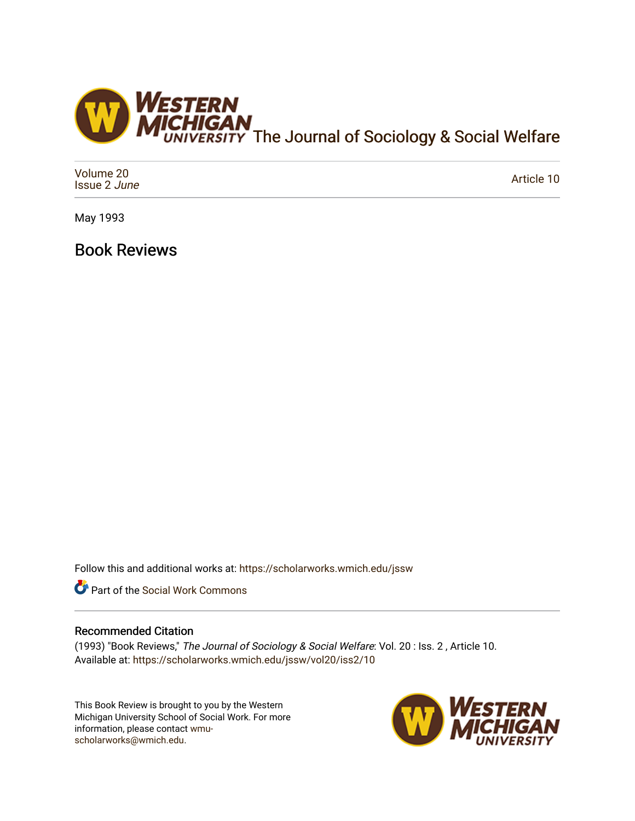

| Volume 20<br>Issue 2 June | Article 10 |
|---------------------------|------------|
|---------------------------|------------|

May 1993

Book Reviews

Follow this and additional works at: [https://scholarworks.wmich.edu/jssw](https://scholarworks.wmich.edu/jssw?utm_source=scholarworks.wmich.edu%2Fjssw%2Fvol20%2Fiss2%2F10&utm_medium=PDF&utm_campaign=PDFCoverPages) 



## Recommended Citation

(1993) "Book Reviews," The Journal of Sociology & Social Welfare: Vol. 20 : Iss. 2 , Article 10. Available at: [https://scholarworks.wmich.edu/jssw/vol20/iss2/10](https://scholarworks.wmich.edu/jssw/vol20/iss2/10?utm_source=scholarworks.wmich.edu%2Fjssw%2Fvol20%2Fiss2%2F10&utm_medium=PDF&utm_campaign=PDFCoverPages) 

This Book Review is brought to you by the Western Michigan University School of Social Work. For more information, please contact [wmu](mailto:wmu-scholarworks@wmich.edu)[scholarworks@wmich.edu.](mailto:wmu-scholarworks@wmich.edu)

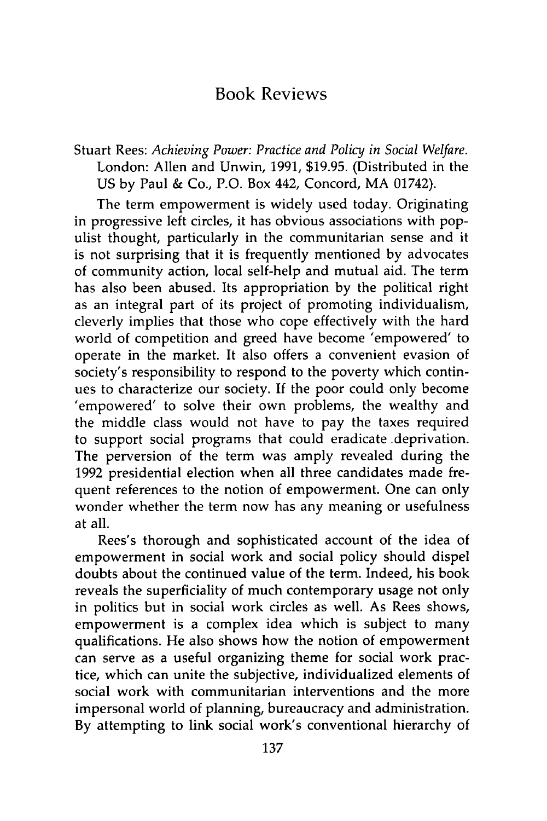## Book Reviews

Stuart Rees: *Achieving Power: Practice and Policy in Social Welfare.* London: Allen and Unwin, 1991, \$19.95. (Distributed in the US by Paul & Co., P.O. Box 442, Concord, MA 01742).

The term empowerment is widely used today. Originating in progressive left circles, it has obvious associations with populist thought, particularly in the communitarian sense and it is not surprising that it is frequently mentioned by advocates of community action, local self-help and mutual aid. The term has also been abused. Its appropriation by the political right as an integral part of its project of promoting individualism, cleverly implies that those who cope effectively with the hard world of competition and greed have become 'empowered' to operate in the market. It also offers a convenient evasion of society's responsibility to respond to the poverty which continues to characterize our society. If the poor could only become 'empowered' to solve their own problems, the wealthy and the middle class would not have to pay the taxes required to support social programs that could eradicate .deprivation. The perversion of the term was amply revealed during the 1992 presidential election when all three candidates made frequent references to the notion of empowerment. One can only wonder whether the term now has any meaning or usefulness at all.

Rees's thorough and sophisticated account of the idea of empowerment in social work and social policy should dispel doubts about the continued value of the term. Indeed, his book reveals the superficiality of much contemporary usage not only in politics but in social work circles as well. As Rees shows, empowerment is a complex idea which is subject to many qualifications. He also shows how the notion of empowerment can serve as a useful organizing theme for social work practice, which can unite the subjective, individualized elements of social work with communitarian interventions and the more impersonal world of planning, bureaucracy and administration. By attempting to link social work's conventional hierarchy of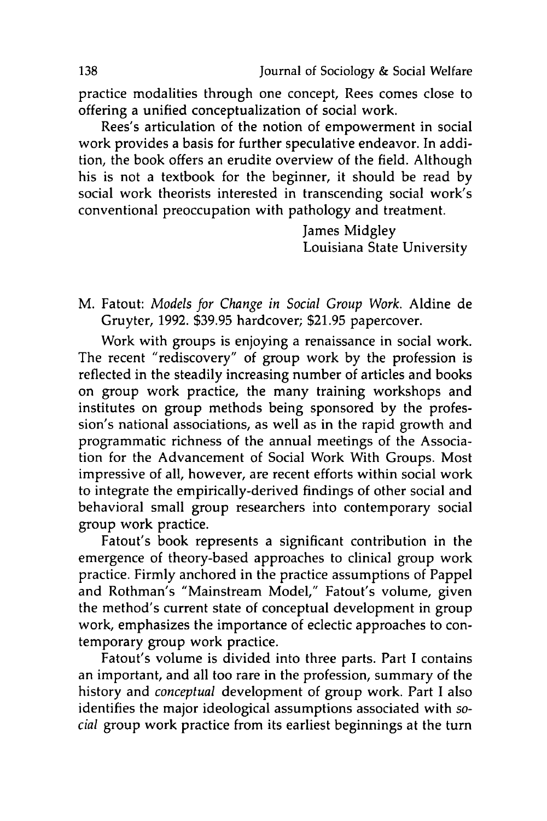practice modalities through one concept, Rees comes close to offering a unified conceptualization of social work.

Rees's articulation of the notion of empowerment in social work provides a basis for further speculative endeavor. In addition, the book offers an erudite overview of the field. Although his is not a textbook for the beginner, it should be read by social work theorists interested in transcending social work's conventional preoccupation with pathology and treatment.

> James Midgley Louisiana State University

M. Fatout: *Models for Change in Social Group Work.* Aldine de Gruyter, 1992. \$39.95 hardcover; \$21.95 papercover.

Work with groups is enjoying a renaissance in social work. The recent "rediscovery" of group work by the profession is reflected in the steadily increasing number of articles and books on group work practice, the many training workshops and institutes on group methods being sponsored by the profession's national associations, as well as in the rapid growth and programmatic richness of the annual meetings of the Association for the Advancement of Social Work With Groups. Most impressive of all, however, are recent efforts within social work to integrate the empirically-derived findings of other social and behavioral small group researchers into contemporary social group work practice.

Fatout's book represents a significant contribution in the emergence of theory-based approaches to clinical group work practice. Firmly anchored in the practice assumptions of Pappel and Rothman's "Mainstream Model," Fatout's volume, given the method's current state of conceptual development in group work, emphasizes the importance of eclectic approaches to contemporary group work practice.

Fatout's volume is divided into three parts. Part I contains an important, and all too rare in the profession, summary of the history and *conceptual* development of group work. Part I also identifies the major ideological assumptions associated with *social* group work practice from its earliest beginnings at the turn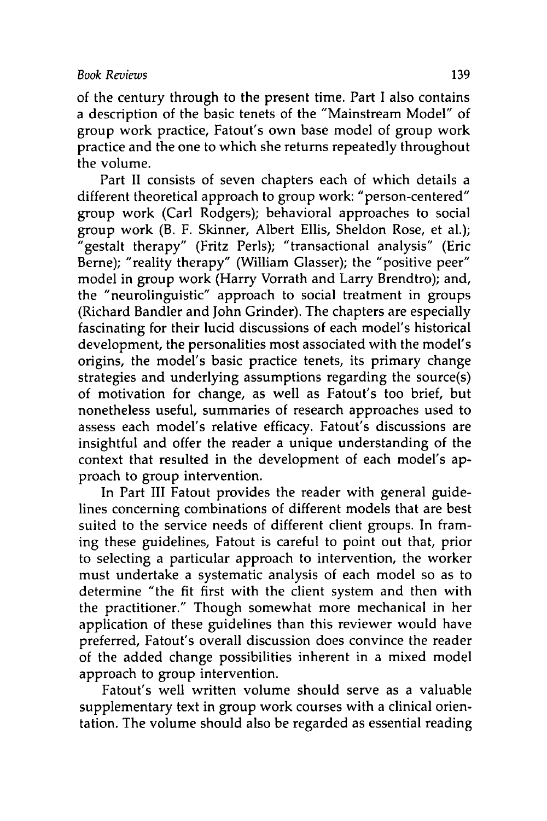of the century through to the present time. Part I also contains a description of the basic tenets of the "Mainstream Model" of group work practice, Fatout's own base model of group work practice and the one to which she returns repeatedly throughout the volume.

Part II consists of seven chapters each of which details a different theoretical approach to group work: "person-centered" group work (Carl Rodgers); behavioral approaches to social group work (B. F. Skinner, Albert Ellis, Sheldon Rose, et al.); "gestalt therapy" (Fritz Perls); "transactional analysis" (Eric Berne); "reality therapy" (William Glasser); the "positive peer" model in group work (Harry Vorrath and Larry Brendtro); and, the "neurolinguistic" approach to social treatment in groups (Richard Bandler and John Grinder). The chapters are especially fascinating for their lucid discussions of each model's historical development, the personalities most associated with the model's origins, the model's basic practice tenets, its primary change strategies and underlying assumptions regarding the source(s) of motivation for change, as well as Fatout's too brief, but nonetheless useful, summaries of research approaches used to assess each model's relative efficacy. Fatout's discussions are insightful and offer the reader a unique understanding of the context that resulted in the development of each model's approach to group intervention.

In Part III Fatout provides the reader with general guidelines concerning combinations of different models that are best suited to the service needs of different client groups. In framing these guidelines, Fatout is careful to point out that, prior to selecting a particular approach to intervention, the worker must undertake a systematic analysis of each model so as to determine "the fit first with the client system and then with the practitioner." Though somewhat more mechanical in her application of these guidelines than this reviewer would have preferred, Fatout's overall discussion does convince the reader of the added change possibilities inherent in a mixed model approach to group intervention.

Fatout's well written volume should serve as a valuable supplementary text in group work courses with a clinical orientation. The volume should also be regarded as essential reading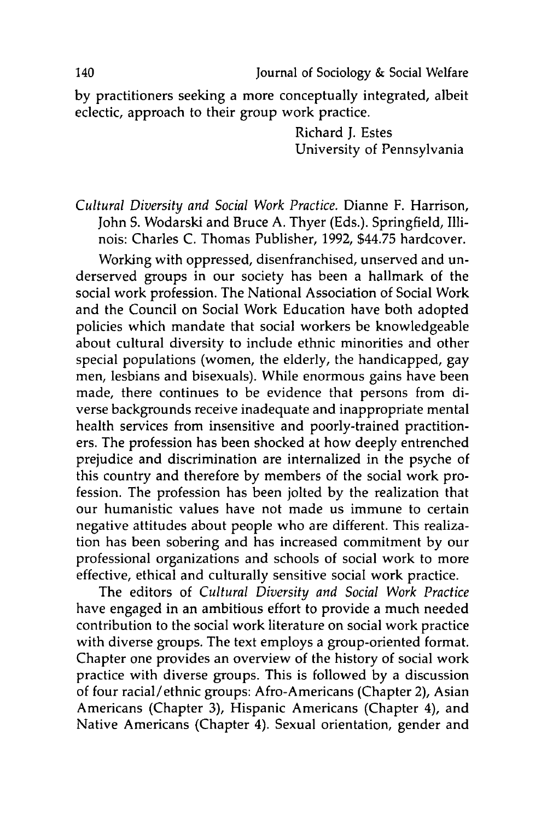by practitioners seeking a more conceptually integrated, albeit eclectic, approach to their group work practice.

> Richard J. Estes University of Pennsylvania

*Cultural Diversity and Social Work Practice.* Dianne F. Harrison, John S. Wodarski and Bruce A. Thyer (Eds.). Springfield, Illinois: Charles C. Thomas Publisher, 1992, \$44.75 hardcover.

Working with oppressed, disenfranchised, unserved and underserved groups in our society has been a hallmark of the social work profession. The National Association of Social Work and the Council on Social Work Education have both adopted policies which mandate that social workers be knowledgeable about cultural diversity to include ethnic minorities and other special populations (women, the elderly, the handicapped, gay men, lesbians and bisexuals). While enormous gains have been made, there continues to be evidence that persons from diverse backgrounds receive inadequate and inappropriate mental health services from insensitive and poorly-trained practitioners. The profession has been shocked at how deeply entrenched prejudice and discrimination are internalized in the psyche of this country and therefore by members of the social work profession. The profession has been jolted by the realization that our humanistic values have not made us immune to certain negative attitudes about people who are different. This realization has been sobering and has increased commitment by our professional organizations and schools of social work to more effective, ethical and culturally sensitive social work practice.

The editors of *Cultural Diversity and Social Work Practice* have engaged in an ambitious effort to provide a much needed contribution to the social work literature on social work practice with diverse groups. The text employs a group-oriented format. Chapter one provides an overview of the history of social work practice with diverse groups. This is followed by a discussion of four racial/ethnic groups: Afro-Americans (Chapter 2), Asian Americans (Chapter 3), Hispanic Americans (Chapter 4), and Native Americans (Chapter 4). Sexual orientation, gender and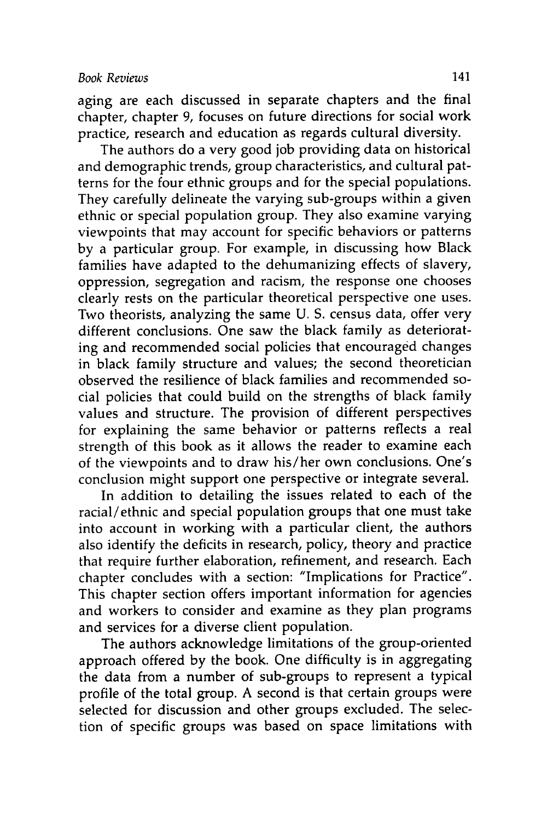aging are each discussed in separate chapters and the final chapter, chapter 9, focuses on future directions for social work practice, research and education as regards cultural diversity.

The authors do a very good job providing data on historical and demographic trends, group characteristics, and cultural patterns for the four ethnic groups and for the special populations. They carefully delineate the varying sub-groups within a given ethnic or special population group. They also examine varying viewpoints that may account for specific behaviors or patterns by a particular group. For example, in discussing how Black families have adapted to the dehumanizing effects of slavery, oppression, segregation and racism, the response one chooses clearly rests on the particular theoretical perspective one uses. Two theorists, analyzing the same U. S. census data, offer very different conclusions. One saw the black family as deteriorating and recommended social policies that encouraged changes in black family structure and values; the second theoretician observed the resilience of black families and recommended social policies that could build on the strengths of black family values and structure. The provision of different perspectives for explaining the same behavior or patterns reflects a real strength of this book as it allows the reader to examine each of the viewpoints and to draw his/her own conclusions. One's conclusion might support one perspective or integrate several.

In addition to detailing the issues related to each of the racial/ethnic and special population groups that one must take into account in working with a particular client, the authors also identify the deficits in research, policy, theory and practice that require further elaboration, refinement, and research. Each chapter concludes with a section: "Implications for Practice". This chapter section offers important information for agencies and workers to consider and examine as they plan programs and services for a diverse client population.

The authors acknowledge limitations of the group-oriented approach offered by the book. One difficulty is in aggregating the data from a number of sub-groups to represent a typical profile of the total group. A second is that certain groups were selected for discussion and other groups excluded. The selection of specific groups was based on space limitations with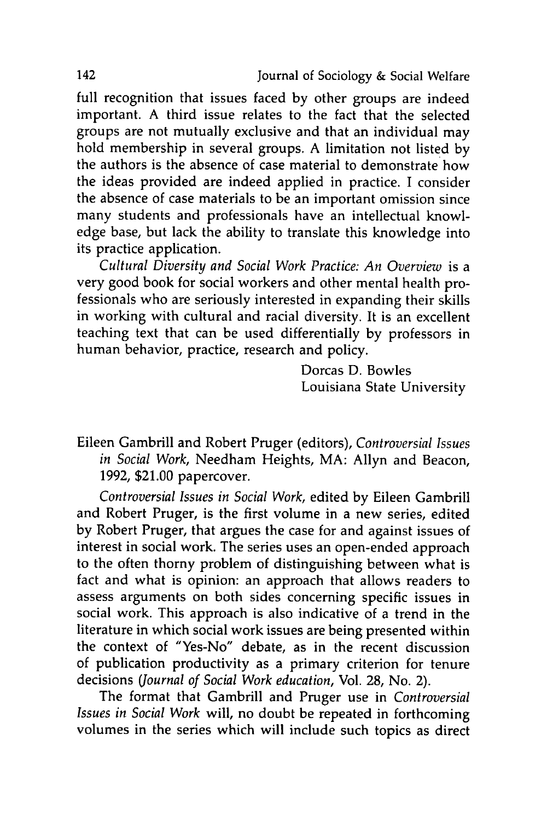full recognition that issues faced by other groups are indeed important. A third issue relates to the fact that the selected groups are not mutually exclusive and that an individual may hold membership in several groups. A limitation not listed by the authors is the absence of case material to demonstrate how the ideas provided are indeed applied in practice. I consider the absence of case materials to be an important omission since many students and professionals have an intellectual knowledge base, but lack the ability to translate this knowledge into its practice application.

*Cultural Diversity and Social Work Practice: An Overview* is a very good book for social workers and other mental health professionals who are seriously interested in expanding their skills in working with cultural and racial diversity. It is an excellent teaching text that can be used differentially by professors in human behavior, practice, research and policy.

> Dorcas D. Bowles Louisiana State University

Eileen Gambrill and Robert Pruger (editors), *Controversial Issues in Social Work,* Needham Heights, MA: Allyn and Beacon, 1992, \$21.00 papercover.

*Controversial Issues in Social Work,* edited by Eileen Gambrill and Robert Pruger, is the first volume in a new series, edited by Robert Pruger, that argues the case for and against issues of interest in social work. The series uses an open-ended approach to the often thorny problem of distinguishing between what is fact and what is opinion: an approach that allows readers to assess arguments on both sides concerning specific issues in social work. This approach is also indicative of a trend in the literature in which social work issues are being presented within the context of "Yes-No" debate, as in the recent discussion of publication productivity as a primary criterion for tenure decisions *(Journal of Social Work education,* Vol. 28, No. 2).

The format that Gambrill and Pruger use in *Controversial Issues in Social Work* will, no doubt be repeated in forthcoming volumes in the series which will include such topics as direct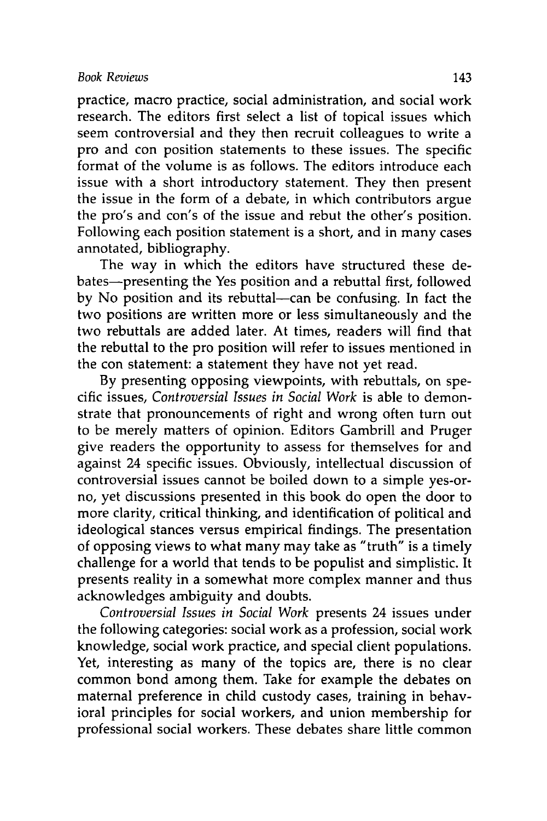practice, macro practice, social administration, and social work research. The editors first select a list of topical issues which seem controversial and they then recruit colleagues to write a pro and con position statements to these issues. The specific format of the volume is as follows. The editors introduce each issue with a short introductory statement. They then present the issue in the form of a debate, in which contributors argue the pro's and con's of the issue and rebut the other's position. Following each position statement is a short, and in many cases annotated, bibliography.

The way in which the editors have structured these debates--presenting the Yes position and a rebuttal first, followed by No position and its rebuttal-can be confusing. In fact the two positions are written more or less simultaneously and the two rebuttals are added later. At times, readers will find that the rebuttal to the pro position will refer to issues mentioned in the con statement: a statement they have not yet read.

By presenting opposing viewpoints, with rebuttals, on specific issues, *Controversial Issues in Social Work* is able to demonstrate that pronouncements of right and wrong often turn out to be merely matters of opinion. Editors Gambrill and Pruger give readers the opportunity to assess for themselves for and against 24 specific issues. Obviously, intellectual discussion of controversial issues cannot be boiled down to a simple yes-orno, yet discussions presented in this book do open the door to more clarity, critical thinking, and identification of political and ideological stances versus empirical findings. The presentation of opposing views to what many may take as "truth" is a timely challenge for a world that tends to be populist and simplistic. It presents reality in a somewhat more complex manner and thus acknowledges ambiguity and doubts.

*Controversial Issues in Social Work* presents 24 issues under the following categories: social work as a profession, social work knowledge, social work practice, and special client populations. Yet, interesting as many of the topics are, there is no clear common bond among them. Take for example the debates on maternal preference in child custody cases, training in behavioral principles for social workers, and union membership for professional social workers. These debates share little common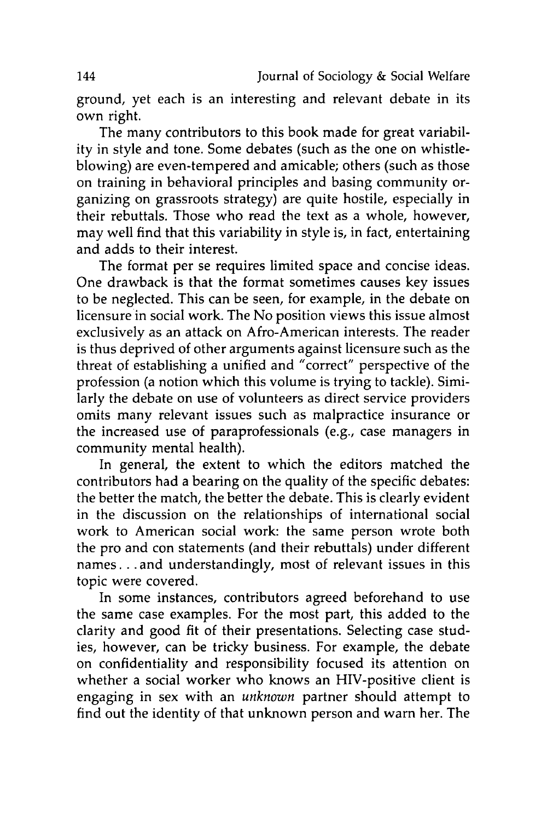ground, yet each is an interesting and relevant debate in its own right.

The many contributors to this book made for great variability in style and tone. Some debates (such as the one on whistleblowing) are even-tempered and amicable; others (such as those on training in behavioral principles and basing community organizing on grassroots strategy) are quite hostile, especially in their rebuttals. Those who read the text as a whole, however, may well find that this variability in style is, in fact, entertaining and adds to their interest.

The format per se requires limited space and concise ideas. One drawback is that the format sometimes causes key issues to be neglected. This can be seen, for example, in the debate on licensure in social work. The No position views this issue almost exclusively as an attack on Afro-American interests. The reader is thus deprived of other arguments against licensure such as the threat of establishing a unified and "correct" perspective of the profession (a notion which this volume is trying to tackle). Similarly the debate on use of volunteers as direct service providers omits many relevant issues such as malpractice insurance or the increased use of paraprofessionals (e.g., case managers in community mental health).

In general, the extent to which the editors matched the contributors had a bearing on the quality of the specific debates: the better the match, the better the debate. This is clearly evident in the discussion on the relationships of international social work to American social work: the same person wrote both the pro and con statements (and their rebuttals) under different names. **. .** and understandingly, most of relevant issues in this topic were covered.

In some instances, contributors agreed beforehand to use the same case examples. For the most part, this added to the clarity and good fit of their presentations. Selecting case studies, however, can be tricky business. For example, the debate on confidentiality and responsibility focused its attention on whether a social worker who knows an HIV-positive client is engaging in sex with an *unknown* partner should attempt to find out the identity of that unknown person and warn her. The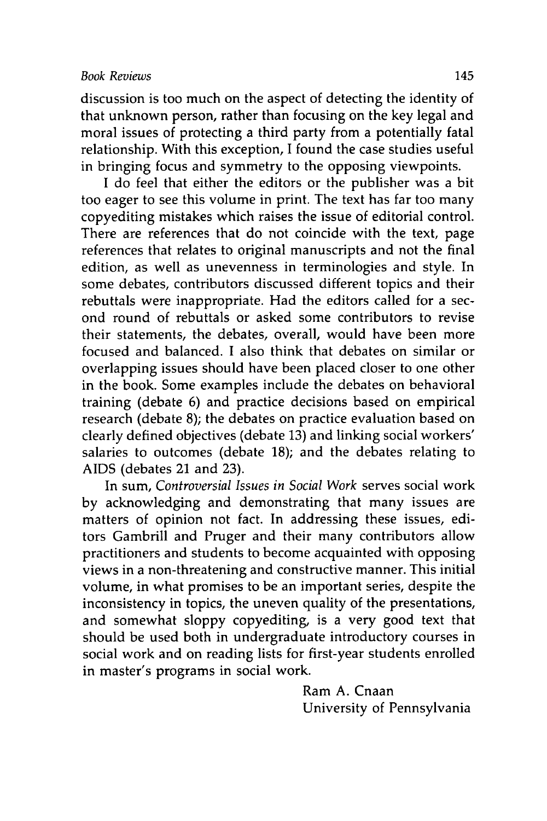discussion is too much on the aspect of detecting the identity of that unknown person, rather than focusing on the key legal and moral issues of protecting a third party from a potentially fatal relationship. With this exception, I found the case studies useful in bringing focus and symmetry to the opposing viewpoints.

I do feel that either the editors or the publisher was a bit too eager to see this volume in print. The text has far too many copyediting mistakes which raises the issue of editorial control. There are references that do not coincide with the text, page references that relates to original manuscripts and not the final edition, as well as unevenness in terminologies and style. In some debates, contributors discussed different topics and their rebuttals were inappropriate. Had the editors called for a second round of rebuttals or asked some contributors to revise their statements, the debates, overall, would have been more focused and balanced. I also think that debates on similar or overlapping issues should have been placed closer to one other in the book. Some examples include the debates on behavioral training (debate 6) and practice decisions based on empirical research (debate 8); the debates on practice evaluation based on clearly defined objectives (debate 13) and linking social workers' salaries to outcomes (debate 18); and the debates relating to AIDS (debates 21 and 23).

In sum, *Controversial Issues in Social Work* serves social work by acknowledging and demonstrating that many issues are matters of opinion not fact. In addressing these issues, editors Gambrill and Pruger and their many contributors allow practitioners and students to become acquainted with opposing views in a non-threatening and constructive manner. This initial volume, in what promises to be an important series, despite the inconsistency in topics, the uneven quality of the presentations, and somewhat sloppy copyediting, is a very good text that should be used both in undergraduate introductory courses in social work and on reading lists for first-year students enrolled in master's programs in social work.

> Ram A. Cnaan University of Pennsylvania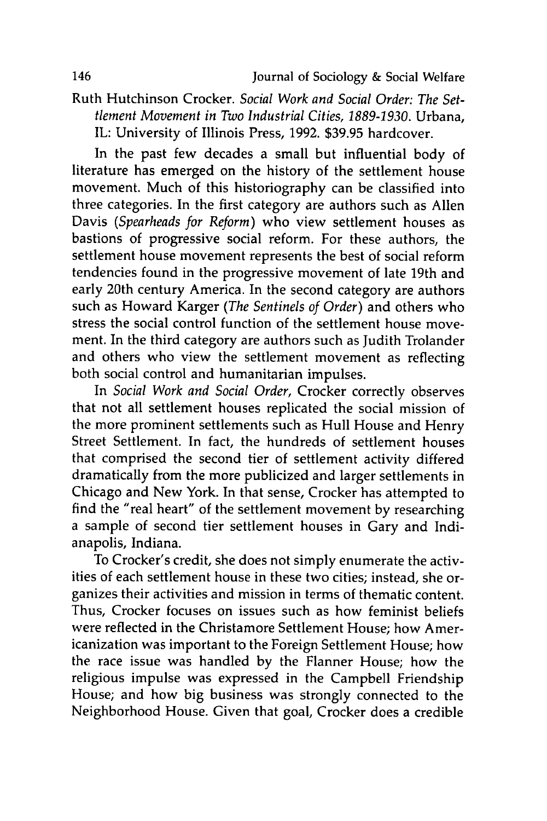Ruth Hutchinson Crocker. *Social Work and Social Order: The Settlement Movement in Two Industrial Cities, 1889-1930.* Urbana, IL: University of Illinois Press, 1992. \$39.95 hardcover.

In the past few decades a small but influential body of literature has emerged on the history of the settlement house movement. Much of this historiography can be classified into three categories. In the first category are authors such as Allen Davis *(Spearheads for Reform)* who view settlement houses as bastions of progressive social reform. For these authors, the settlement house movement represents the best of social reform tendencies found in the progressive movement of late 19th and early 20th century America. In the second category are authors such as Howard Karger *(The Sentinels of Order)* and others who stress the social control function of the settlement house movement. In the third category are authors such as Judith Trolander and others who view the settlement movement as reflecting both social control and humanitarian impulses.

In *Social Work and Social Order,* Crocker correctly observes that not all settlement houses replicated the social mission of the more prominent settlements such as Hull House and Henry Street Settlement. In fact, the hundreds of settlement houses that comprised the second tier of settlement activity differed dramatically from the more publicized and larger settlements in Chicago and New York. In that sense, Crocker has attempted to find the "real heart" of the settlement movement by researching a sample of second tier settlement houses in Gary and Indianapolis, Indiana.

To Crocker's credit, she does not simply enumerate the activities of each settlement house in these two cities; instead, she organizes their activities and mission in terms of thematic content. Thus, Crocker focuses on issues such as how feminist beliefs were reflected in the Christamore Settlement House; how Americanization was important to the Foreign Settlement House; how the race issue was handled by the Flanner House; how the religious impulse was expressed in the Campbell Friendship House; and how big business was strongly connected to the Neighborhood House. Given that goal, Crocker does a credible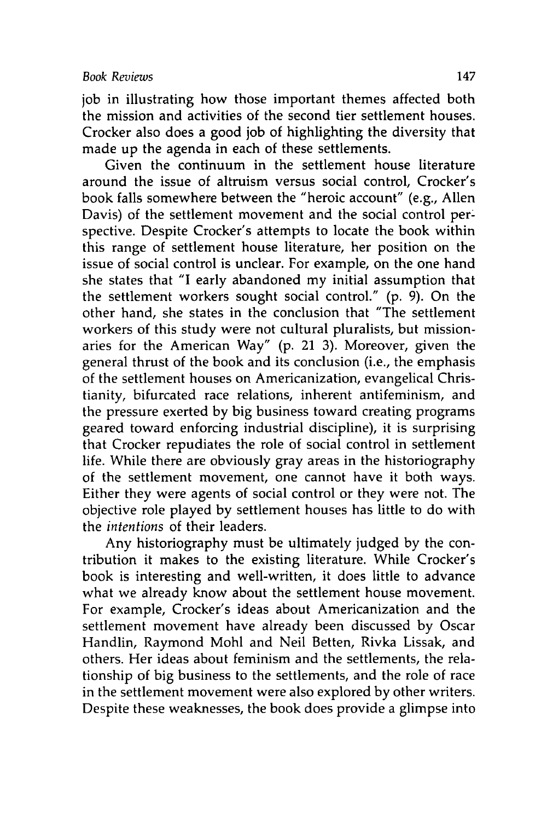job in illustrating how those important themes affected both the mission and activities of the second tier settlement houses. Crocker also does a good job of highlighting the diversity that made up the agenda in each of these settlements.

Given the continuum in the settlement house literature around the issue of altruism versus social control, Crocker's book falls somewhere between the "heroic account" (e.g., Allen Davis) of the settlement movement and the social control perspective. Despite Crocker's attempts to locate the book within this range of settlement house literature, her position on the issue of social control is unclear. For example, on the one hand she states that "I early abandoned my initial assumption that the settlement workers sought social control." (p. 9). On the other hand, she states in the conclusion that "The settlement workers of this study were not cultural pluralists, but missionaries for the American Way" (p. 21 3). Moreover, given the general thrust of the book and its conclusion (i.e., the emphasis of the settlement houses on Americanization, evangelical Christianity, bifurcated race relations, inherent antifeminism, and the pressure exerted by big business toward creating programs geared toward enforcing industrial discipline), it is surprising that Crocker repudiates the role of social control in settlement life. While there are obviously gray areas in the historiography of the settlement movement, one cannot have it both ways. Either they were agents of social control or they were not. The objective role played by settlement houses has little to do with the *intentions* of their leaders.

Any historiography must be ultimately judged by the contribution it makes to the existing literature. While Crocker's book is interesting and well-written, it does little to advance what we already know about the settlement house movement. For example, Crocker's ideas about Americanization and the settlement movement have already been discussed by Oscar Handlin, Raymond Mohl and Neil Betten, Rivka Lissak, and others. Her ideas about feminism and the settlements, the relationship of big business to the settlements, and the role of race in the settlement movement were also explored by other writers. Despite these weaknesses, the book does provide a glimpse into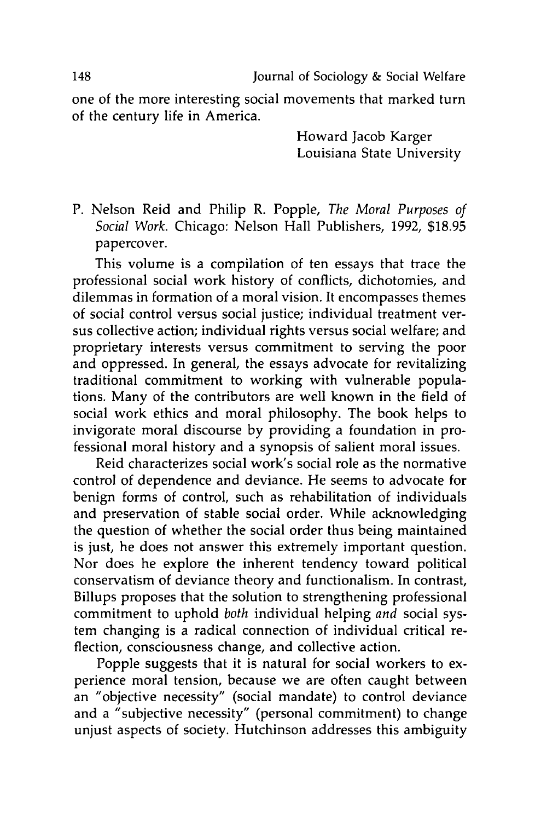one of the more interesting social movements that marked turn of the century life in America.

> Howard Jacob Karger Louisiana State University

P. Nelson Reid and Philip R. Popple, *The Moral Purposes of Social Work.* Chicago: Nelson Hall Publishers, 1992, \$18.95 papercover.

This volume is a compilation of ten essays that trace the professional social work history of conflicts, dichotomies, and dilemmas in formation of a moral vision. It encompasses themes of social control versus social justice; individual treatment versus collective action; individual rights versus social welfare; and proprietary interests versus commitment to serving the poor and oppressed. In general, the essays advocate for revitalizing traditional commitment to working with vulnerable populations. Many of the contributors are well known in the field of social work ethics and moral philosophy. The book helps to invigorate moral discourse by providing a foundation in professional moral history and a synopsis of salient moral issues.

Reid characterizes social work's social role as the normative control of dependence and deviance. He seems to advocate for benign forms of control, such as rehabilitation of individuals and preservation of stable social order. While acknowledging the question of whether the social order thus being maintained is just, he does not answer this extremely important question. Nor does he explore the inherent tendency toward political conservatism of deviance theory and functionalism. In contrast, Billups proposes that the solution to strengthening professional commitment to uphold *both* individual helping *and* social system changing is a radical connection of individual critical reflection, consciousness change, and collective action.

Popple suggests that it is natural for social workers to experience moral tension, because we are often caught between an "objective necessity" (social mandate) to control deviance and a "subjective necessity" (personal commitment) to change unjust aspects of society. Hutchinson addresses this ambiguity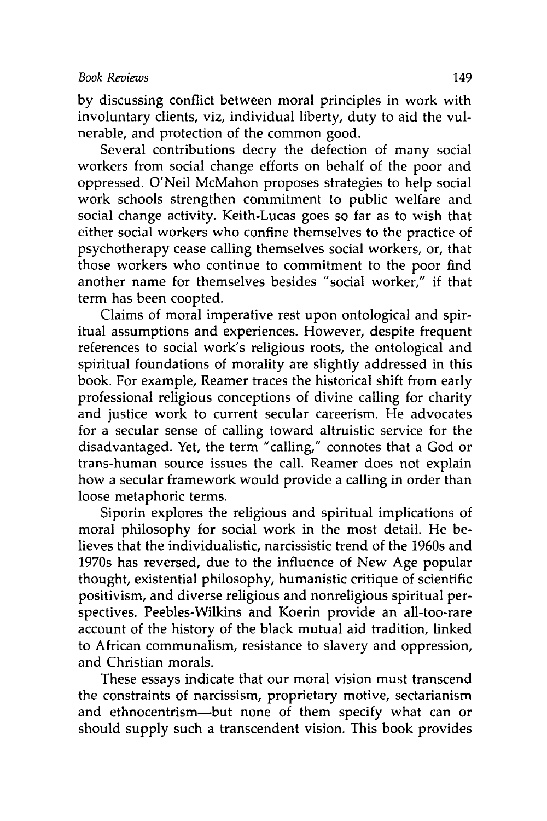by discussing conflict between moral principles in work with involuntary clients, viz, individual liberty, duty to aid the vulnerable, and protection of the common good.

Several contributions decry the defection of many social workers from social change efforts on behalf of the poor and oppressed. O'Neil McMahon proposes strategies to help social work schools strengthen commitment to public welfare and social change activity. Keith-Lucas goes so far as to wish that either social workers who confine themselves to the practice of psychotherapy cease calling themselves social workers, or, that those workers who continue to commitment to the poor find another name for themselves besides "social worker," if that term has been coopted.

Claims of moral imperative rest upon ontological and spiritual assumptions and experiences. However, despite frequent references to social work's religious roots, the ontological and spiritual foundations of morality are slightly addressed in this book. For example, Reamer traces the historical shift from early professional religious conceptions of divine calling for charity and justice work to current secular careerism. He advocates for a secular sense of calling toward altruistic service for the disadvantaged. Yet, the term "calling," connotes that a God or trans-human source issues the call. Reamer does not explain how a secular framework would provide a calling in order than loose metaphoric terms.

Siporin explores the religious and spiritual implications of moral philosophy for social work in the most detail. He believes that the individualistic, narcissistic trend of the 1960s and 1970s has reversed, due to the influence of New Age popular thought, existential philosophy, humanistic critique of scientific positivism, and diverse religious and nonreligious spiritual perspectives. Peebles-Wilkins and Koerin provide an all-too-rare account of the history of the black mutual aid tradition, linked to African communalism, resistance to slavery and oppression, and Christian morals.

These essays indicate that our moral vision must transcend the constraints of narcissism, proprietary motive, sectarianism and ethnocentrism-but none of them specify what can or should supply such a transcendent vision. This book provides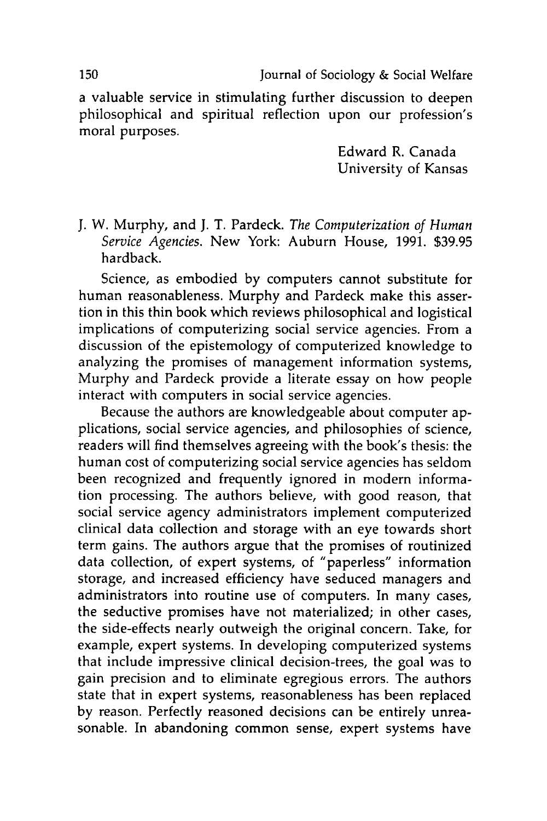a valuable service in stimulating further discussion to deepen philosophical and spiritual reflection upon our profession's moral purposes.

> Edward R. Canada University of Kansas

J. W. Murphy, and J. T. Pardeck. *The Computerization of Human Service Agencies.* New York: Auburn House, 1991. \$39.95 hardback.

Science, as embodied by computers cannot substitute for human reasonableness. Murphy and Pardeck make this assertion in this thin book which reviews philosophical and logistical implications of computerizing social service agencies. From a discussion of the epistemology of computerized knowledge to analyzing the promises of management information systems, Murphy and Pardeck provide a literate essay on how people interact with computers in social service agencies.

Because the authors are knowledgeable about computer applications, social service agencies, and philosophies of science, readers will find themselves agreeing with the book's thesis: the human cost of computerizing social service agencies has seldom been recognized and frequently ignored in modern information processing. The authors believe, with good reason, that social service agency administrators implement computerized clinical data collection and storage with an eye towards short term gains. The authors argue that the promises of routinized data collection, of expert systems, of "paperless" information storage, and increased efficiency have seduced managers and administrators into routine use of computers. In many cases, the seductive promises have not materialized; in other cases, the side-effects nearly outweigh the original concern. Take, for example, expert systems. In developing computerized systems that include impressive clinical decision-trees, the goal was to gain precision and to eliminate egregious errors. The authors state that in expert systems, reasonableness has been replaced by reason. Perfectly reasoned decisions can be entirely unreasonable. In abandoning common sense, expert systems have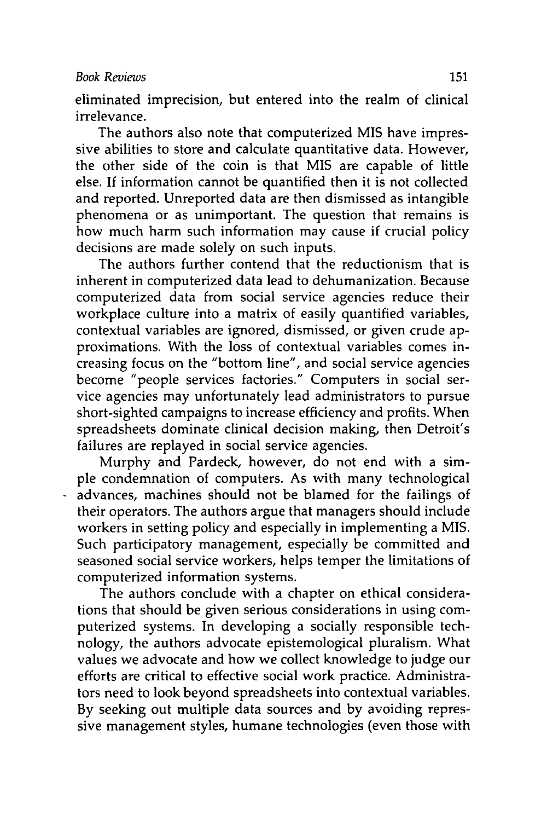## *Book Reviews* **151**

eliminated imprecision, but entered into the realm of clinical irrelevance.

The authors also note that computerized **MIS** have impressive abilities to store and calculate quantitative data. However, the other side of the coin is that **MIS** are capable of little else. **If** information cannot be quantified then it is not collected and reported. Unreported data are then dismissed as intangible phenomena or as unimportant. The question that remains is how much harm such information may cause if crucial policy decisions are made solely on such inputs.

The authors further contend that the reductionism that is inherent in computerized data lead to dehumanization. Because computerized data from social service agencies reduce their workplace culture into a matrix of easily quantified variables, contextual variables are ignored, dismissed, or given crude approximations. With the loss of contextual variables comes increasing focus on the "bottom line", and social service agencies become "people services factories." Computers in social service agencies may unfortunately lead administrators to pursue short-sighted campaigns to increase efficiency and profits. When spreadsheets dominate clinical decision making, then Detroit's failures are replayed in social service agencies.

Murphy and Pardeck, however, do not end with a simple condemnation of computers. As with many technological advances, machines should not be blamed for the failings of their operators. The authors argue that managers should include workers in setting policy and especially in implementing a MIS. Such participatory management, especially be committed and seasoned social service workers, helps temper the limitations of computerized information systems.

The authors conclude with a chapter on ethical considerations that should be given serious considerations in using computerized systems. In developing a socially responsible technology, the authors advocate epistemological pluralism. What values we advocate and how we collect knowledge to judge our efforts are critical to effective social work practice. Administrators need to look beyond spreadsheets into contextual variables. By seeking out multiple data sources and by avoiding repressive management styles, humane technologies (even those with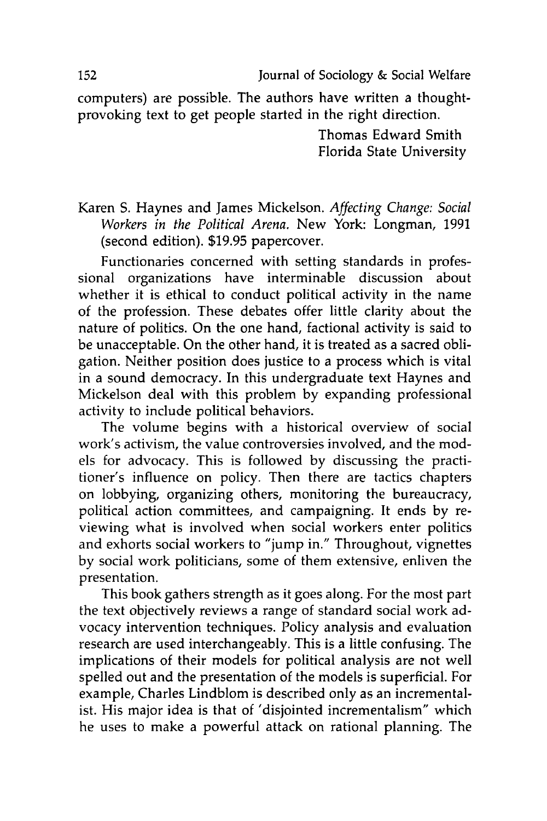**152** Journal of Sociology & Social Welfare

computers) are possible. The authors have written a thoughtprovoking text to get people started in the right direction.

> Thomas Edward Smith Florida State University

Karen S. Haynes and James Mickelson. *Affecting Change: Social Workers in the Political Arena.* New York: Longman, 1991 (second edition). \$19.95 papercover.

Functionaries concerned with setting standards in professional organizations have interminable discussion about whether it is ethical to conduct political activity in the name of the profession. These debates offer little clarity about the nature of politics. On the one hand, factional activity is said to be unacceptable. On the other hand, it is treated as a sacred obligation. Neither position does justice to a process which is vital in a sound democracy. In this undergraduate text Haynes and Mickelson deal with this problem by expanding professional activity to include political behaviors.

The volume begins with a historical overview of social work's activism, the value controversies involved, and the models for advocacy. This is followed by discussing the practitioner's influence on policy. Then there are tactics chapters on lobbying, organizing others, monitoring the bureaucracy, political action committees, and campaigning. It ends by reviewing what is involved when social workers enter politics and exhorts social workers to "jump in." Throughout, vignettes by social work politicians, some of them extensive, enliven the presentation.

This book gathers strength as it goes along. For the most part the text objectively reviews a range of standard social work advocacy intervention techniques. Policy analysis and evaluation research are used interchangeably. This is a little confusing. The implications of their models for political analysis are not well spelled out and the presentation of the models is superficial. For example, Charles Lindblom is described only as an incrementalist. His major idea is that of 'disjointed incrementalism" which he uses to make a powerful attack on rational planning. The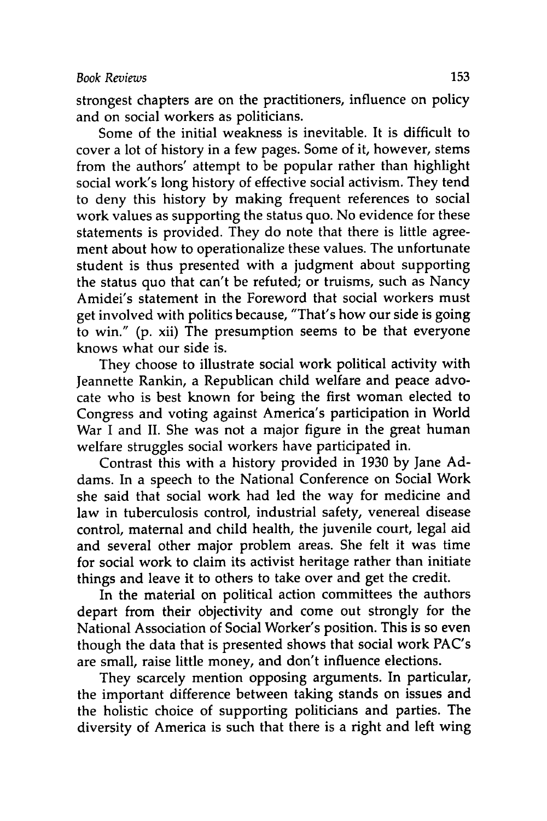strongest chapters are on the practitioners, influence on policy and on social workers as politicians.

Some of the initial weakness is inevitable. It is difficult to cover a lot of history in a few pages. Some of it, however, stems from the authors' attempt to be popular rather than highlight social work's long history of effective social activism. They tend to deny this history **by** making frequent references to social work values as supporting the status quo. No evidence for these statements is provided. They do note that there is little agreement about how to operationalize these values. The unfortunate student is thus presented with a judgment about supporting the status quo that can't be refuted; or truisms, such as Nancy Amidei's statement in the Foreword that social workers must get involved with politics because, "That's how our side is going to win." (p. xii) The presumption seems to be that everyone knows what our side is.

They choose to illustrate social work political activity with Jeannette Rankin, a Republican child welfare and peace advocate who is best known for being the first woman elected to Congress and voting against America's participation in World War I and II. She was not a major figure in the great human welfare struggles social workers have participated in.

Contrast this with a history provided in 1930 by Jane Addams. In a speech to the National Conference on Social Work she said that social work had led the way for medicine and law in tuberculosis control, industrial safety, venereal disease control, maternal and child health, the juvenile court, legal aid and several other major problem areas. She felt it was time for social work to claim its activist heritage rather than initiate things and leave it to others to take over and get the credit.

In the material on political action committees the authors depart from their objectivity and come out strongly for the National Association of Social Worker's position. This is so even though the data that is presented shows that social work PAC's are small, raise little money, and don't influence elections.

They scarcely mention opposing arguments. In particular, the important difference between taking stands on issues and the holistic choice of supporting politicians and parties. The diversity of America is such that there is a right and left wing